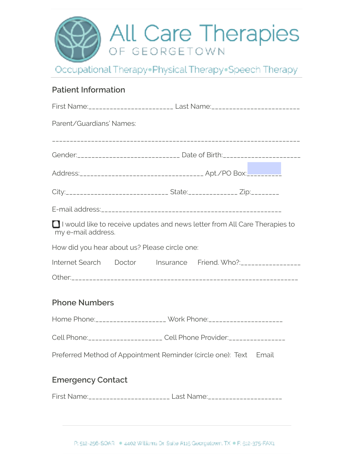

## **Patient Information**

|                                                                                  | Parent/Guardians' Names:                                                                         |                                                                       |  |  |  |  |
|----------------------------------------------------------------------------------|--------------------------------------------------------------------------------------------------|-----------------------------------------------------------------------|--|--|--|--|
| Gender._____________________________ Date of Birth:_____________________________ |                                                                                                  |                                                                       |  |  |  |  |
|                                                                                  |                                                                                                  |                                                                       |  |  |  |  |
|                                                                                  |                                                                                                  | City:______________________________ State:____________ Zip:________   |  |  |  |  |
|                                                                                  |                                                                                                  |                                                                       |  |  |  |  |
|                                                                                  | I would like to receive updates and news letter from All Care Therapies to<br>my e-mail address. |                                                                       |  |  |  |  |
| How did you hear about us? Please circle one:                                    |                                                                                                  |                                                                       |  |  |  |  |
| ⊙Internet Search (DDoctor ()Insurance ()Friend. Who?:___________________________ |                                                                                                  |                                                                       |  |  |  |  |
|                                                                                  |                                                                                                  |                                                                       |  |  |  |  |
|                                                                                  | <b>Phone Numbers</b>                                                                             |                                                                       |  |  |  |  |
|                                                                                  |                                                                                                  |                                                                       |  |  |  |  |
|                                                                                  |                                                                                                  | Cell Phone: ____________________ Cell Phone Provider: ____            |  |  |  |  |
|                                                                                  | Preferred Method of Appointment Reminder (circle one): Text                                      |                                                                       |  |  |  |  |
|                                                                                  | <b>Emergency Contact</b>                                                                         |                                                                       |  |  |  |  |
|                                                                                  |                                                                                                  | First Name: _______________________ Last Name: ______________________ |  |  |  |  |
|                                                                                  |                                                                                                  |                                                                       |  |  |  |  |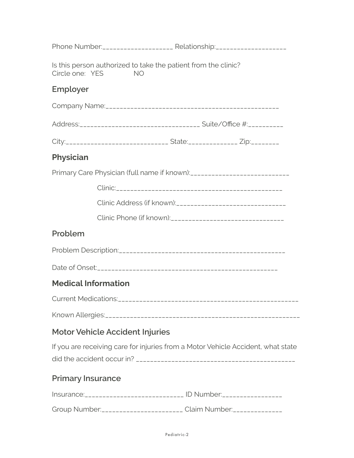|                                                                                                       | Phone Number: _____________________ Relationship: ______________________________ |  |  |  |
|-------------------------------------------------------------------------------------------------------|----------------------------------------------------------------------------------|--|--|--|
| Is this person authorized to take the patient from the clinic?<br>Circle one: YES( $\bullet$ )<br>NO( |                                                                                  |  |  |  |
| Employer                                                                                              |                                                                                  |  |  |  |
|                                                                                                       |                                                                                  |  |  |  |
|                                                                                                       |                                                                                  |  |  |  |
|                                                                                                       | City:______________________________ State:____________ Zip:________              |  |  |  |
| <b>Physician</b>                                                                                      |                                                                                  |  |  |  |
|                                                                                                       | Primary Care Physician (full name if known): ___________________________________ |  |  |  |
|                                                                                                       |                                                                                  |  |  |  |
|                                                                                                       |                                                                                  |  |  |  |
|                                                                                                       |                                                                                  |  |  |  |
| Problem                                                                                               |                                                                                  |  |  |  |
|                                                                                                       |                                                                                  |  |  |  |
|                                                                                                       |                                                                                  |  |  |  |
| <b>Medical Information</b>                                                                            |                                                                                  |  |  |  |
|                                                                                                       |                                                                                  |  |  |  |
|                                                                                                       |                                                                                  |  |  |  |
| <b>Motor Vehicle Accident Injuries</b>                                                                |                                                                                  |  |  |  |
| If you are receiving care for injuries from a Motor Vehicle Accident, what state                      |                                                                                  |  |  |  |
|                                                                                                       |                                                                                  |  |  |  |
| <b>Primary Insurance</b>                                                                              |                                                                                  |  |  |  |
|                                                                                                       | Insurance: ____________________________ ID Number: __________________            |  |  |  |
|                                                                                                       | Group Number: _______________________ Claim Number: ______________               |  |  |  |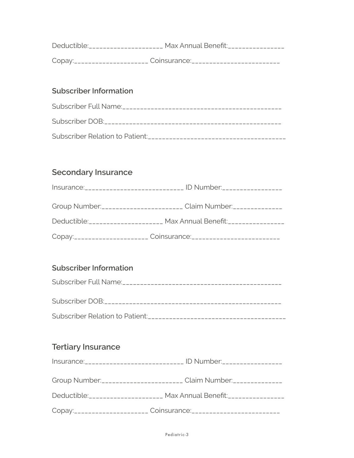| Deductible: _____________________ Max Annual Benefit: _________________ |
|-------------------------------------------------------------------------|
|                                                                         |

## **Subscriber Information**

# **Secondary Insurance**

| Insurance: _____________________________ ID Number: ____________________________ |
|----------------------------------------------------------------------------------|
| Group Number: ________________________ Claim Number: ______________              |
| Deductible: ____________________ Max Annual Benefit: ___________________________ |
| Copay:______________________ Coinsurance:__________________________              |

### **Subscriber Information**

# **Tertiary Insurance**

| Insurance: _____________________________ ID Number: ____________________________ |
|----------------------------------------------------------------------------------|
| Group Number: ________________________ Claim Number: ______________              |
| Deductible: ____________________ Max Annual Benefit: ___________________________ |
| Copay:______________________ Coinsurance:___________________________             |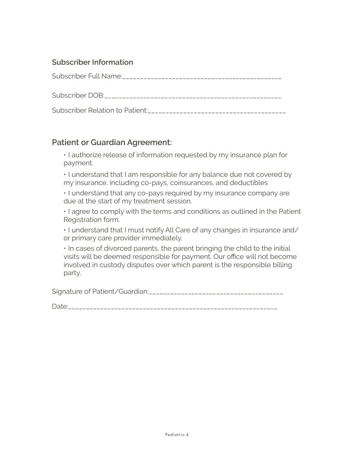#### **Subscriber Information**

#### **Patient or Guardian Agreement:**

• I authorize release of information requested by my insurance plan for payment.

• I understand that I am responsible for any balance due not covered by my insurance, including co-pays, coinsurances, and deductibles

• I understand that any co-pays required by my insurance company are due at the start of my treatment session.

• I agree to comply with the terms and conditions as outlined in the Patient Registration form.

• I understand that I must notify All Care of any changes in insurance and/ or primary care provider immediately.

• In cases of divorced parents, the parent bringing the child to the initial visits will be deemed responsible for payment. Our office will not become involved in custody disputes over which parent is the responsible billing party.

Signature of Patient/Guardian:\_\_\_\_\_\_\_\_\_\_\_\_\_\_\_\_\_\_\_\_\_\_\_\_\_\_\_\_\_\_\_\_\_\_\_\_\_\_

Date:\_\_\_\_\_\_\_\_\_\_\_\_\_\_\_\_\_\_\_\_\_\_\_\_\_\_\_\_\_\_\_\_\_\_\_\_\_\_\_\_\_\_\_\_\_\_\_\_\_\_\_\_\_\_\_\_\_\_\_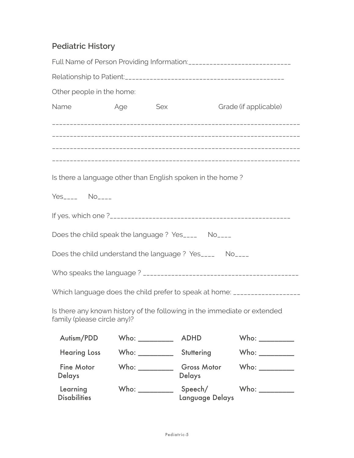# **Pediatric History**

| Other people in the home:                                                                               |                                                                                                                                                                                                                                |     |                                     |                                                                           |
|---------------------------------------------------------------------------------------------------------|--------------------------------------------------------------------------------------------------------------------------------------------------------------------------------------------------------------------------------|-----|-------------------------------------|---------------------------------------------------------------------------|
| Name                                                                                                    | Age                                                                                                                                                                                                                            | Sex |                                     | Grade (if applicable)                                                     |
|                                                                                                         |                                                                                                                                                                                                                                |     |                                     |                                                                           |
|                                                                                                         |                                                                                                                                                                                                                                |     |                                     |                                                                           |
|                                                                                                         |                                                                                                                                                                                                                                |     |                                     |                                                                           |
|                                                                                                         |                                                                                                                                                                                                                                |     |                                     |                                                                           |
| Is there a language other than English spoken in the home?                                              |                                                                                                                                                                                                                                |     |                                     |                                                                           |
|                                                                                                         |                                                                                                                                                                                                                                |     |                                     |                                                                           |
|                                                                                                         |                                                                                                                                                                                                                                |     |                                     |                                                                           |
|                                                                                                         |                                                                                                                                                                                                                                |     |                                     |                                                                           |
| Does the child speak the language? Yes____ No____                                                       |                                                                                                                                                                                                                                |     |                                     |                                                                           |
| Does the child understand the language? Yes____ No____                                                  |                                                                                                                                                                                                                                |     |                                     |                                                                           |
|                                                                                                         |                                                                                                                                                                                                                                |     |                                     |                                                                           |
|                                                                                                         |                                                                                                                                                                                                                                |     |                                     | Which language does the child prefer to speak at home: __________________ |
|                                                                                                         |                                                                                                                                                                                                                                |     |                                     |                                                                           |
| Is there any known history of the following in the immediate or extended<br>family (please circle any)? |                                                                                                                                                                                                                                |     |                                     |                                                                           |
| Autism/PDD                                                                                              |                                                                                                                                                                                                                                |     | <b>ADHD</b>                         |                                                                           |
| <b>Hearing Loss</b>                                                                                     | Who: when the set of the set of the set of the set of the set of the set of the set of the set of the set of the set of the set of the set of the set of the set of the set of the set of the set of the set of the set of the |     | Stuttering                          | Who: $\_\_$                                                               |
| <b>Fine Motor</b><br><b>Delays</b>                                                                      | Who: $\frac{1}{\sqrt{1-\frac{1}{2}}\cdot\frac{1}{\sqrt{1-\frac{1}{2}}\cdot\frac{1}{2}}\cdot\frac{1}{\sqrt{1-\frac{1}{2}}\cdot\frac{1}{2}}}}$                                                                                   |     | <b>Gross Motor</b><br><b>Delays</b> | Who: $\_\_$                                                               |
| Learning<br><b>Disabilities</b>                                                                         | Who: _________                                                                                                                                                                                                                 |     | Speech/<br>Language Delays          | Who: $\_\_$                                                               |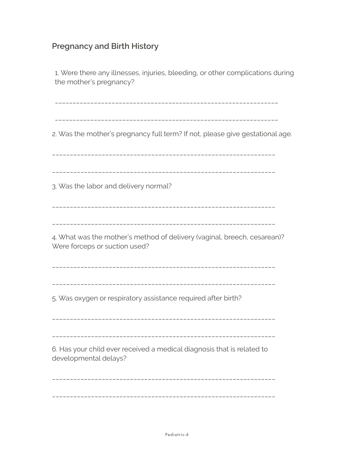## **Pregnancy and Birth History**

1. Were there any illnesses, injuries, bleeding, or other complications during the mother's pregnancy?

\_\_\_\_\_\_\_\_\_\_\_\_\_\_\_\_\_\_\_\_\_\_\_\_\_\_\_\_\_\_\_\_\_\_\_\_\_\_\_\_\_\_\_\_\_\_\_\_\_\_\_\_\_\_\_\_\_\_\_\_\_\_\_

\_\_\_\_\_\_\_\_\_\_\_\_\_\_\_\_\_\_\_\_\_\_\_\_\_\_\_\_\_\_\_\_\_\_\_\_\_\_\_\_\_\_\_\_\_\_\_\_\_\_\_\_\_\_\_\_\_\_\_\_\_\_\_

2. Was the mother's pregnancy full term? If not, please give gestational age.

\_\_\_\_\_\_\_\_\_\_\_\_\_\_\_\_\_\_\_\_\_\_\_\_\_\_\_\_\_\_\_\_\_\_\_\_\_\_\_\_\_\_\_\_\_\_\_\_\_\_\_\_\_\_\_\_\_\_\_\_\_\_\_

\_\_\_\_\_\_\_\_\_\_\_\_\_\_\_\_\_\_\_\_\_\_\_\_\_\_\_\_\_\_\_\_\_\_\_\_\_\_\_\_\_\_\_\_\_\_\_\_\_\_\_\_\_\_\_\_\_\_\_\_\_\_\_

3. Was the labor and delivery normal?

\_\_\_\_\_\_\_\_\_\_\_\_\_\_\_\_\_\_\_\_\_\_\_\_\_\_\_\_\_\_\_\_\_\_\_\_\_\_\_\_\_\_\_\_\_\_\_\_\_\_\_\_\_\_\_\_\_\_\_\_\_\_\_

\_\_\_\_\_\_\_\_\_\_\_\_\_\_\_\_\_\_\_\_\_\_\_\_\_\_\_\_\_\_\_\_\_\_\_\_\_\_\_\_\_\_\_\_\_\_\_\_\_\_\_\_\_\_\_\_\_\_\_\_\_\_\_

4. What was the mother's method of delivery (vaginal, breech, cesarean)? Were forceps or suction used?

\_\_\_\_\_\_\_\_\_\_\_\_\_\_\_\_\_\_\_\_\_\_\_\_\_\_\_\_\_\_\_\_\_\_\_\_\_\_\_\_\_\_\_\_\_\_\_\_\_\_\_\_\_\_\_\_\_\_\_\_\_\_\_

\_\_\_\_\_\_\_\_\_\_\_\_\_\_\_\_\_\_\_\_\_\_\_\_\_\_\_\_\_\_\_\_\_\_\_\_\_\_\_\_\_\_\_\_\_\_\_\_\_\_\_\_\_\_\_\_\_\_\_\_\_\_\_

5. Was oxygen or respiratory assistance required after birth?

\_\_\_\_\_\_\_\_\_\_\_\_\_\_\_\_\_\_\_\_\_\_\_\_\_\_\_\_\_\_\_\_\_\_\_\_\_\_\_\_\_\_\_\_\_\_\_\_\_\_\_\_\_\_\_\_\_\_\_\_\_\_\_

\_\_\_\_\_\_\_\_\_\_\_\_\_\_\_\_\_\_\_\_\_\_\_\_\_\_\_\_\_\_\_\_\_\_\_\_\_\_\_\_\_\_\_\_\_\_\_\_\_\_\_\_\_\_\_\_\_\_\_\_\_\_\_

6. Has your child ever received a medical diagnosis that is related to developmental delays?

\_\_\_\_\_\_\_\_\_\_\_\_\_\_\_\_\_\_\_\_\_\_\_\_\_\_\_\_\_\_\_\_\_\_\_\_\_\_\_\_\_\_\_\_\_\_\_\_\_\_\_\_\_\_\_\_\_\_\_\_\_\_\_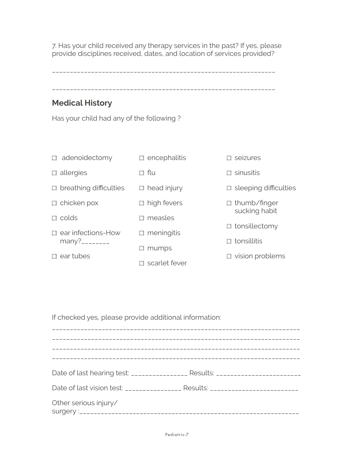7. Has your child received any therapy services in the past? If yes, please provide disciplines received, dates, and location of services provided?

\_\_\_\_\_\_\_\_\_\_\_\_\_\_\_\_\_\_\_\_\_\_\_\_\_\_\_\_\_\_\_\_\_\_\_\_\_\_\_\_\_\_\_\_\_\_\_\_\_\_\_\_\_\_\_\_\_\_\_\_\_\_\_

\_\_\_\_\_\_\_\_\_\_\_\_\_\_\_\_\_\_\_\_\_\_\_\_\_\_\_\_\_\_\_\_\_\_\_\_\_\_\_\_\_\_\_\_\_\_\_\_\_\_\_\_\_\_\_\_\_\_\_\_\_\_\_

## **Medical History**

Has your child had any of the following ?

- adenoidectomy **encephalitis**  $\Box$  allergies breathing difficulties head injury □ chicken pox  $\Box$  colds  $\square$  ear infections-How many?\_\_\_\_\_\_\_\_  $\Box$  ear tubes m flu high fevers measles  $\Box$  meningitis  $m$  mumps scarlet fever
- **□** seizures
	- $\Box$  sinusitis
	- □ sleeping difficulties
	- □ thumb/finger sucking habit
	- $\Box$  tonsillectomy
	- $\Box$  tonsillitis
	- vision problems

If checked yes, please provide additional information:

| Date of last vision test: ____________________ Results: ________________________ |  |
|----------------------------------------------------------------------------------|--|
| Other serious injury/                                                            |  |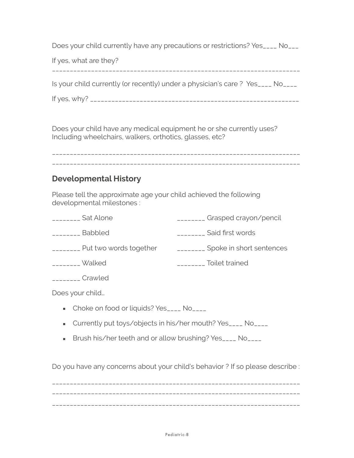Does your child currently have any precautions or restrictions? Yes\_\_\_\_ No\_\_\_

If yes, what are they?

\_\_\_\_\_\_\_\_\_\_\_\_\_\_\_\_\_\_\_\_\_\_\_\_\_\_\_\_\_\_\_\_\_\_\_\_\_\_\_\_\_\_\_\_\_\_\_\_\_\_\_\_\_\_\_\_\_\_\_\_\_\_\_\_\_\_\_\_\_\_

Is your child currently (or recently) under a physician's care ? Yes\_\_\_\_ No\_\_\_\_

If yes, why? \_\_\_\_\_\_\_\_\_\_\_\_\_\_\_\_\_\_\_\_\_\_\_\_\_\_\_\_\_\_\_\_\_\_\_\_\_\_\_\_\_\_\_\_\_\_\_\_\_\_\_\_\_\_\_\_\_\_\_

Does your child have any medical equipment he or she currently uses? Including wheelchairs, walkers, orthotics, glasses, etc?

\_\_\_\_\_\_\_\_\_\_\_\_\_\_\_\_\_\_\_\_\_\_\_\_\_\_\_\_\_\_\_\_\_\_\_\_\_\_\_\_\_\_\_\_\_\_\_\_\_\_\_\_\_\_\_\_\_\_\_\_\_\_\_\_\_\_\_\_\_\_ \_\_\_\_\_\_\_\_\_\_\_\_\_\_\_\_\_\_\_\_\_\_\_\_\_\_\_\_\_\_\_\_\_\_\_\_\_\_\_\_\_\_\_\_\_\_\_\_\_\_\_\_\_\_\_\_\_\_\_\_\_\_\_\_\_\_\_\_\_\_

### **Developmental History**

Please tell the approximate age your child achieved the following developmental milestones :

| Sat Alone              | Grasped crayon/pencil    |
|------------------------|--------------------------|
| <b>Babbled</b>         | Said first words         |
| Put two words together | Spoke in short sentences |
| Walked                 | Toilet trained           |
| Crawled                |                          |

Does your child…

- Choke on food or liquids? Yes\_\_\_\_ No\_\_\_\_
- Currently put toys/objects in his/her mouth? Yes\_\_\_\_ No\_\_\_\_
- **Brush his/her teeth and or allow brushing? Yes\_\_\_\_ No\_\_\_\_**

Do you have any concerns about your child's behavior ? If so please describe :

\_\_\_\_\_\_\_\_\_\_\_\_\_\_\_\_\_\_\_\_\_\_\_\_\_\_\_\_\_\_\_\_\_\_\_\_\_\_\_\_\_\_\_\_\_\_\_\_\_\_\_\_\_\_\_\_\_\_\_\_\_\_\_\_\_\_\_\_\_\_ \_\_\_\_\_\_\_\_\_\_\_\_\_\_\_\_\_\_\_\_\_\_\_\_\_\_\_\_\_\_\_\_\_\_\_\_\_\_\_\_\_\_\_\_\_\_\_\_\_\_\_\_\_\_\_\_\_\_\_\_\_\_\_\_\_\_\_\_\_\_ \_\_\_\_\_\_\_\_\_\_\_\_\_\_\_\_\_\_\_\_\_\_\_\_\_\_\_\_\_\_\_\_\_\_\_\_\_\_\_\_\_\_\_\_\_\_\_\_\_\_\_\_\_\_\_\_\_\_\_\_\_\_\_\_\_\_\_\_\_\_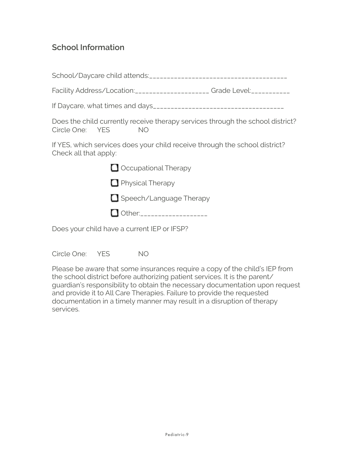## **School Information**

|                                  | Facility Address/Location:______________________ Grade Level:___________       |
|----------------------------------|--------------------------------------------------------------------------------|
|                                  |                                                                                |
| $Circle One(①)$ YES $\bigcap$ NO | Does the child currently receive therapy services through the school district? |
| Check all that apply:            | If YES, which services does your child receive through the school district?    |
| Occupational Therapy             |                                                                                |
| $\Box$ Physical Therapy          |                                                                                |
|                                  | Speech/Language Therapy                                                        |
|                                  | Other:____________________                                                     |
|                                  |                                                                                |

Does your child have a current IEP or IFSP?



Please be aware that some insurances require a copy of the child's IEP from the school district before authorizing patient services. It is the parent/ guardian's responsibility to obtain the necessary documentation upon request and provide it to All Care Therapies. Failure to provide the requested documentation in a timely manner may result in a disruption of therapy services.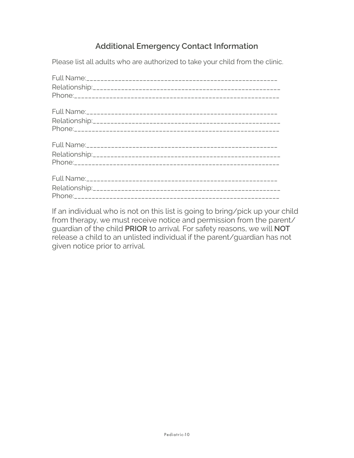## **Additional Emergency Contact Information**

Please list all adults who are authorized to take your child from the clinic.

If an individual who is not on this list is going to bring/pick up your child from therapy, we must receive notice and permission from the parent/ guardian of the child **PRIOR** to arrival. For safety reasons, we will **NOT** release a child to an unlisted individual if the parent/guardian has not given notice prior to arrival.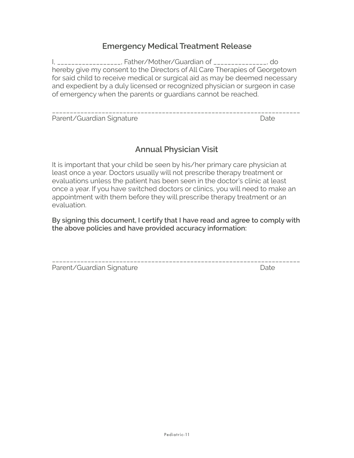#### **Emergency Medical Treatment Release**

I, \_\_\_\_\_\_\_\_\_\_\_\_\_\_\_\_\_\_, Father/Mother/Guardian of \_\_\_\_\_\_\_\_\_\_\_\_\_\_\_, do hereby give my consent to the Directors of All Care Therapies of Georgetown for said child to receive medical or surgical aid as may be deemed necessary and expedient by a duly licensed or recognized physician or surgeon in case of emergency when the parents or guardians cannot be reached.

\_\_\_\_\_\_\_\_\_\_\_\_\_\_\_\_\_\_\_\_\_\_\_\_\_\_\_\_\_\_\_\_\_\_\_\_\_\_\_\_\_\_\_\_\_\_\_\_\_\_\_\_\_\_\_\_\_\_\_\_\_\_\_\_\_\_\_\_\_\_ Parent/Guardian Signature **Date** Date

## **Annual Physician Visit**

It is important that your child be seen by his/her primary care physician at least once a year. Doctors usually will not prescribe therapy treatment or evaluations unless the patient has been seen in the doctor's clinic at least once a year. If you have switched doctors or clinics, you will need to make an appointment with them before they will prescribe therapy treatment or an evaluation.

**By signing this document, I certify that I have read and agree to comply with the above policies and have provided accuracy information:**

\_\_\_\_\_\_\_\_\_\_\_\_\_\_\_\_\_\_\_\_\_\_\_\_\_\_\_\_\_\_\_\_\_\_\_\_\_\_\_\_\_\_\_\_\_\_\_\_\_\_\_\_\_\_\_\_\_\_\_\_\_\_\_\_\_\_\_\_\_\_

| Parent/Guardian Signature | Date |
|---------------------------|------|
|                           |      |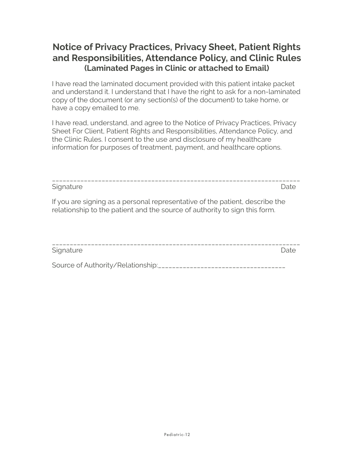# **Notice of Privacy Practices, Privacy Sheet, Patient Rights and Responsibilities, Attendance Policy, and Clinic Rules (Laminated Pages in Clinic or attached to Email)**

I have read the laminated document provided with this patient intake packet and understand it. I understand that I have the right to ask for a non-laminated copy of the document (or any section(s) of the document) to take home, or have a copy emailed to me.

I have read, understand, and agree to the Notice of Privacy Practices, Privacy Sheet For Client, Patient Rights and Responsibilities, Attendance Policy, and the Clinic Rules. I consent to the use and disclosure of my healthcare information for purposes of treatment, payment, and healthcare options.

\_\_\_\_\_\_\_\_\_\_\_\_\_\_\_\_\_\_\_\_\_\_\_\_\_\_\_\_\_\_\_\_\_\_\_\_\_\_\_\_\_\_\_\_\_\_\_\_\_\_\_\_\_\_\_\_\_\_\_\_\_\_\_\_\_\_\_\_\_\_ Signature Date **Date** 

If you are signing as a personal representative of the patient, describe the relationship to the patient and the source of authority to sign this form.

| Signature                         | Date. |
|-----------------------------------|-------|
| Source of Authority/Relationship: |       |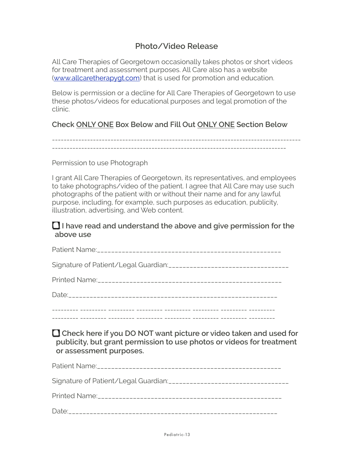#### **Photo/Video Release**

All Care Therapies of Georgetown occasionally takes photos or short videos for treatment and assessment purposes. All Care also has a website [\(www.allcaretherapygt.com\)](http://www.allcaretherapygt.com) that is used for promotion and education.

Below is permission or a decline for All Care Therapies of Georgetown to use these photos/videos for educational purposes and legal promotion of the clinic.

**Check ONLY ONE Box Below and Fill Out ONLY ONE Section Below**

-------------------------------------------------------------------------------------

Permission to use Photograph

I grant All Care Therapies of Georgetown, its representatives, and employees to take photographs/video of the patient. I agree that All Care may use such photographs of the patient with or without their name and for any lawful purpose, including, for example, such purposes as education, publicity, illustration, advertising, and Web content.

#### **I have read and understand the above and give permission for the above use**

Patient Name:\_\_\_\_\_\_\_\_\_\_\_\_\_\_\_\_\_\_\_\_\_\_\_\_\_\_\_\_\_\_\_\_\_\_\_\_\_\_\_\_\_\_\_\_\_\_\_\_\_\_\_\_ Signature of Patient/Legal Guardian:\_\_\_\_\_\_\_\_\_\_\_\_\_\_\_\_\_\_\_\_\_\_\_\_\_\_\_\_\_\_\_\_\_\_ Printed Name:\_\_\_\_\_\_\_\_\_\_\_\_\_\_\_\_\_\_\_\_\_\_\_\_\_\_\_\_\_\_\_\_\_\_\_\_\_\_\_\_\_\_\_\_\_\_\_\_\_\_\_\_ Date:\_\_\_\_\_\_\_\_\_\_\_\_\_\_\_\_\_\_\_\_\_\_\_\_\_\_\_\_\_\_\_\_\_\_\_\_\_\_\_\_\_\_\_\_\_\_\_\_\_\_\_\_\_\_\_\_\_\_\_ --------- --------- --------- --------- --------- --------- --------- --------- --------- --------- --------- --------- --------- --------- --------- ---------

**Check here if you DO NOT want picture or video taken and used for publicity, but grant permission to use photos or videos for treatment or assessment purposes.**

Patient Name:\_\_\_\_\_\_\_\_\_\_\_\_\_\_\_\_\_\_\_\_\_\_\_\_\_\_\_\_\_\_\_\_\_\_\_\_\_\_\_\_\_\_\_\_\_\_\_\_\_\_\_\_

Signature of Patient/Legal Guardian:\_\_\_\_\_\_\_\_\_\_\_\_\_\_\_\_\_\_\_\_\_\_\_\_\_\_\_\_\_\_\_\_\_\_

Printed Name:\_\_\_\_\_\_\_\_\_\_\_\_\_\_\_\_\_\_\_\_\_\_\_\_\_\_\_\_\_\_\_\_\_\_\_\_\_\_\_\_\_\_\_\_\_\_\_\_\_\_\_\_

Date:\_\_\_\_\_\_\_\_\_\_\_\_\_\_\_\_\_\_\_\_\_\_\_\_\_\_\_\_\_\_\_\_\_\_\_\_\_\_\_\_\_\_\_\_\_\_\_\_\_\_\_\_\_\_\_\_\_\_\_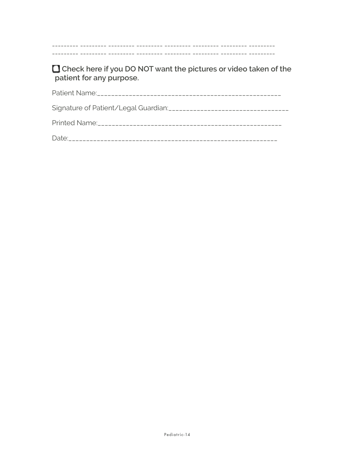□ Check here if you DO NOT want the pictures or video taken of the patient for any purpose.